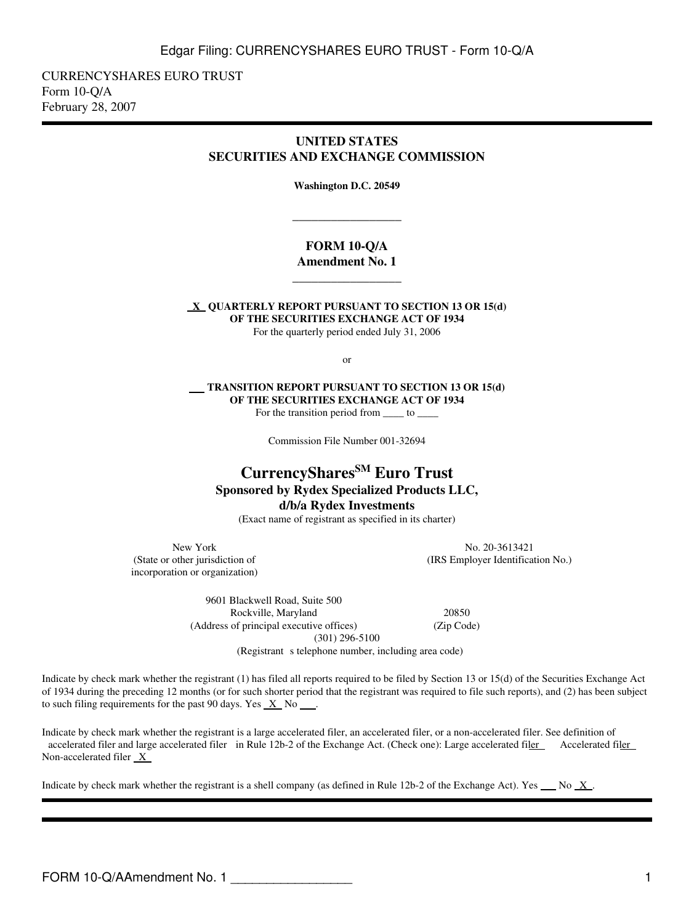CURRENCYSHARES EURO TRUST Form 10-Q/A February 28, 2007

## **UNITED STATES SECURITIES AND EXCHANGE COMMISSION**

**Washington D.C. 20549**

\_\_\_\_\_\_\_\_\_\_\_\_\_\_\_\_\_

## **FORM 10-Q/A Amendment No. 1**

**\_\_\_\_\_\_\_\_\_\_\_\_\_\_\_\_\_**

 **X QUARTERLY REPORT PURSUANT TO SECTION 13 OR 15(d) OF THE SECURITIES EXCHANGE ACT OF 1934** For the quarterly period ended July 31, 2006

or

 **TRANSITION REPORT PURSUANT TO SECTION 13 OR 15(d) OF THE SECURITIES EXCHANGE ACT OF 1934** For the transition period from  $\qquad \qquad$  to

Commission File Number 001-32694

# **CurrencySharesSM Euro Trust Sponsored by Rydex Specialized Products LLC, d/b/a Rydex Investments**

(Exact name of registrant as specified in its charter)

incorporation or organization)

New York No. 20-3613421 (State or other jurisdiction of (IRS Employer Identification No.)

> 9601 Blackwell Road, Suite 500 Rockville, Maryland 20850 (Address of principal executive offices) (Zip Code) (301) 296-5100

(Registrant s telephone number, including area code)

Indicate by check mark whether the registrant (1) has filed all reports required to be filed by Section 13 or 15(d) of the Securities Exchange Act of 1934 during the preceding 12 months (or for such shorter period that the registrant was required to file such reports), and (2) has been subject to such filing requirements for the past 90 days. Yes  $X$  No  $\ldots$ .

Indicate by check mark whether the registrant is a large accelerated filer, an accelerated filer, or a non-accelerated filer. See definition of accelerated filer and large accelerated filer in Rule 12b-2 of the Exchange Act. (Check one): Large accelerated filer Accelerated filer Non-accelerated filer  $X$ 

Indicate by check mark whether the registrant is a shell company (as defined in Rule 12b-2 of the Exchange Act). Yes No X.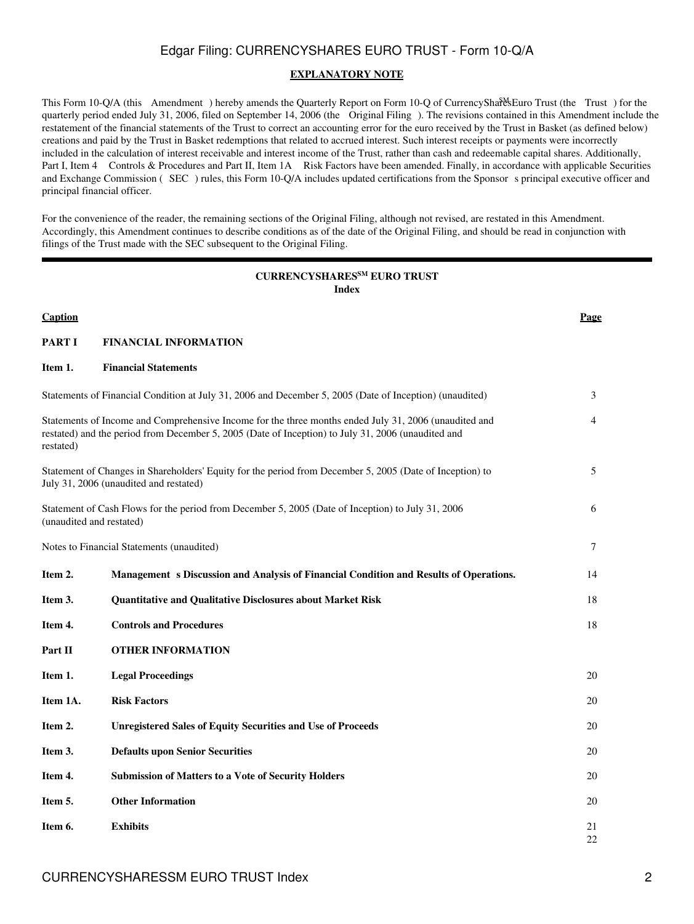### **EXPLANATORY NOTE**

This Form 10-Q/A (this Amendment) hereby amends the Quarterly Report on Form 10-Q of CurrencyShares SEuro Trust (the Trust) for the quarterly period ended July 31, 2006, filed on September 14, 2006 (the Original Filing). The revisions contained in this Amendment include the restatement of the financial statements of the Trust to correct an accounting error for the euro received by the Trust in Basket (as defined below) creations and paid by the Trust in Basket redemptions that related to accrued interest. Such interest receipts or payments were incorrectly included in the calculation of interest receivable and interest income of the Trust, rather than cash and redeemable capital shares. Additionally, Part I, Item 4 Controls & Procedures and Part II, Item 1A Risk Factors have been amended. Finally, in accordance with applicable Securities and Exchange Commission (SEC) rules, this Form 10-Q/A includes updated certifications from the Sponsor s principal executive officer and principal financial officer.

For the convenience of the reader, the remaining sections of the Original Filing, although not revised, are restated in this Amendment. Accordingly, this Amendment continues to describe conditions as of the date of the Original Filing, and should be read in conjunction with filings of the Trust made with the SEC subsequent to the Original Filing.

## **CURRENCYSHARESSM EURO TRUST Index**

| Caption                  |                                                                                                                                                                                                             | Page     |
|--------------------------|-------------------------------------------------------------------------------------------------------------------------------------------------------------------------------------------------------------|----------|
| <b>PART I</b>            | <b>FINANCIAL INFORMATION</b>                                                                                                                                                                                |          |
| Item 1.                  | <b>Financial Statements</b>                                                                                                                                                                                 |          |
|                          | Statements of Financial Condition at July 31, 2006 and December 5, 2005 (Date of Inception) (unaudited)                                                                                                     | 3        |
| restated)                | Statements of Income and Comprehensive Income for the three months ended July 31, 2006 (unaudited and<br>restated) and the period from December 5, 2005 (Date of Inception) to July 31, 2006 (unaudited and | 4        |
|                          | Statement of Changes in Shareholders' Equity for the period from December 5, 2005 (Date of Inception) to<br>July 31, 2006 (unaudited and restated)                                                          | 5        |
| (unaudited and restated) | Statement of Cash Flows for the period from December 5, 2005 (Date of Inception) to July 31, 2006                                                                                                           | 6        |
|                          | Notes to Financial Statements (unaudited)                                                                                                                                                                   | 7        |
| Item 2.                  | Management s Discussion and Analysis of Financial Condition and Results of Operations.                                                                                                                      | 14       |
| Item 3.                  | Quantitative and Qualitative Disclosures about Market Risk                                                                                                                                                  | 18       |
| Item 4.                  | <b>Controls and Procedures</b>                                                                                                                                                                              | 18       |
| Part II                  | <b>OTHER INFORMATION</b>                                                                                                                                                                                    |          |
| Item 1.                  | <b>Legal Proceedings</b>                                                                                                                                                                                    | 20       |
| Item 1A.                 | <b>Risk Factors</b>                                                                                                                                                                                         | 20       |
| Item 2.                  | <b>Unregistered Sales of Equity Securities and Use of Proceeds</b>                                                                                                                                          | 20       |
| Item 3.                  | <b>Defaults upon Senior Securities</b>                                                                                                                                                                      | 20       |
| Item 4.                  | <b>Submission of Matters to a Vote of Security Holders</b>                                                                                                                                                  | 20       |
| Item 5.                  | <b>Other Information</b>                                                                                                                                                                                    | 20       |
| Item 6.                  | <b>Exhibits</b>                                                                                                                                                                                             | 21<br>22 |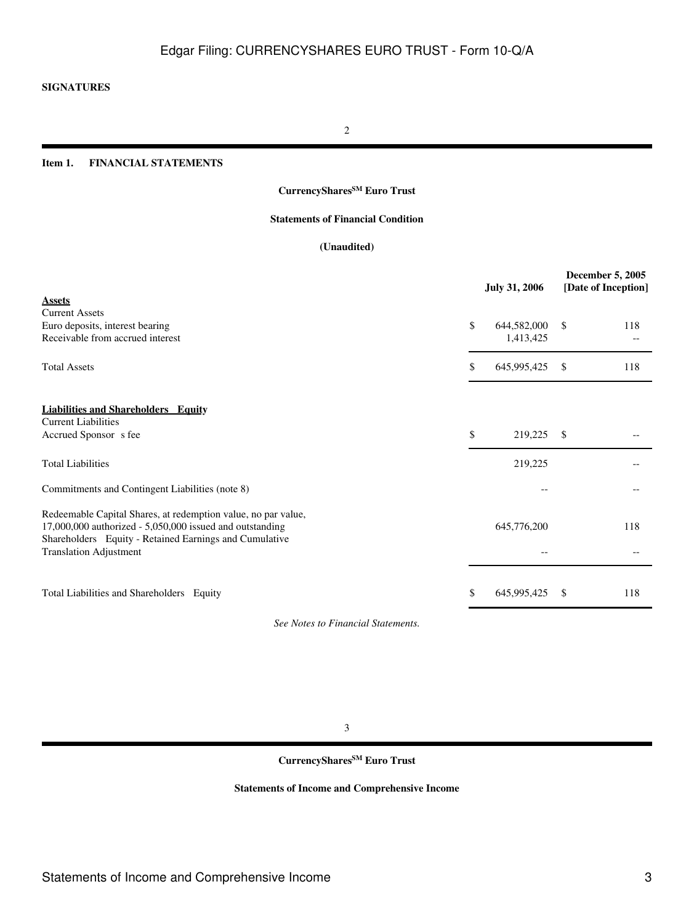## **SIGNATURES**

2

## **Item 1. FINANCIAL STATEMENTS**

## **CurrencySharesSM Euro Trust**

## **Statements of Financial Condition**

### **(Unaudited)**

| <b>Assets</b><br><b>Current Assets</b><br>\$<br>Euro deposits, interest bearing<br>644,582,000<br>\$<br>118<br>Receivable from accrued interest<br>1,413,425<br><b>Total Assets</b><br>645,995,425<br>\$<br>\$.<br>118<br><b>Liabilities and Shareholders Equity</b><br><b>Current Liabilities</b><br>\$<br>Accrued Sponsor s fee<br>219,225<br>- \$<br><b>Total Liabilities</b><br>219,225<br>Commitments and Contingent Liabilities (note 8)<br>Redeemable Capital Shares, at redemption value, no par value,<br>$17,000,000$ authorized - $5,050,000$ issued and outstanding<br>645,776,200<br>118<br>Shareholders Equity - Retained Earnings and Cumulative<br><b>Translation Adjustment</b><br>Total Liabilities and Shareholders Equity<br>\$<br>645,995,425<br>118<br><sup>\$</sup> |  | <b>July 31, 2006</b> | <b>December 5, 2005</b><br>[Date of Inception] |
|--------------------------------------------------------------------------------------------------------------------------------------------------------------------------------------------------------------------------------------------------------------------------------------------------------------------------------------------------------------------------------------------------------------------------------------------------------------------------------------------------------------------------------------------------------------------------------------------------------------------------------------------------------------------------------------------------------------------------------------------------------------------------------------------|--|----------------------|------------------------------------------------|
|                                                                                                                                                                                                                                                                                                                                                                                                                                                                                                                                                                                                                                                                                                                                                                                            |  |                      |                                                |
|                                                                                                                                                                                                                                                                                                                                                                                                                                                                                                                                                                                                                                                                                                                                                                                            |  |                      |                                                |
|                                                                                                                                                                                                                                                                                                                                                                                                                                                                                                                                                                                                                                                                                                                                                                                            |  |                      |                                                |
|                                                                                                                                                                                                                                                                                                                                                                                                                                                                                                                                                                                                                                                                                                                                                                                            |  |                      |                                                |
|                                                                                                                                                                                                                                                                                                                                                                                                                                                                                                                                                                                                                                                                                                                                                                                            |  |                      |                                                |
|                                                                                                                                                                                                                                                                                                                                                                                                                                                                                                                                                                                                                                                                                                                                                                                            |  |                      |                                                |
|                                                                                                                                                                                                                                                                                                                                                                                                                                                                                                                                                                                                                                                                                                                                                                                            |  |                      |                                                |
|                                                                                                                                                                                                                                                                                                                                                                                                                                                                                                                                                                                                                                                                                                                                                                                            |  |                      |                                                |
|                                                                                                                                                                                                                                                                                                                                                                                                                                                                                                                                                                                                                                                                                                                                                                                            |  |                      |                                                |
|                                                                                                                                                                                                                                                                                                                                                                                                                                                                                                                                                                                                                                                                                                                                                                                            |  |                      |                                                |
|                                                                                                                                                                                                                                                                                                                                                                                                                                                                                                                                                                                                                                                                                                                                                                                            |  |                      |                                                |
|                                                                                                                                                                                                                                                                                                                                                                                                                                                                                                                                                                                                                                                                                                                                                                                            |  |                      |                                                |
|                                                                                                                                                                                                                                                                                                                                                                                                                                                                                                                                                                                                                                                                                                                                                                                            |  |                      |                                                |

*See Notes to Financial Statements.*

3

## **CurrencySharesSM Euro Trust**

## **Statements of Income and Comprehensive Income**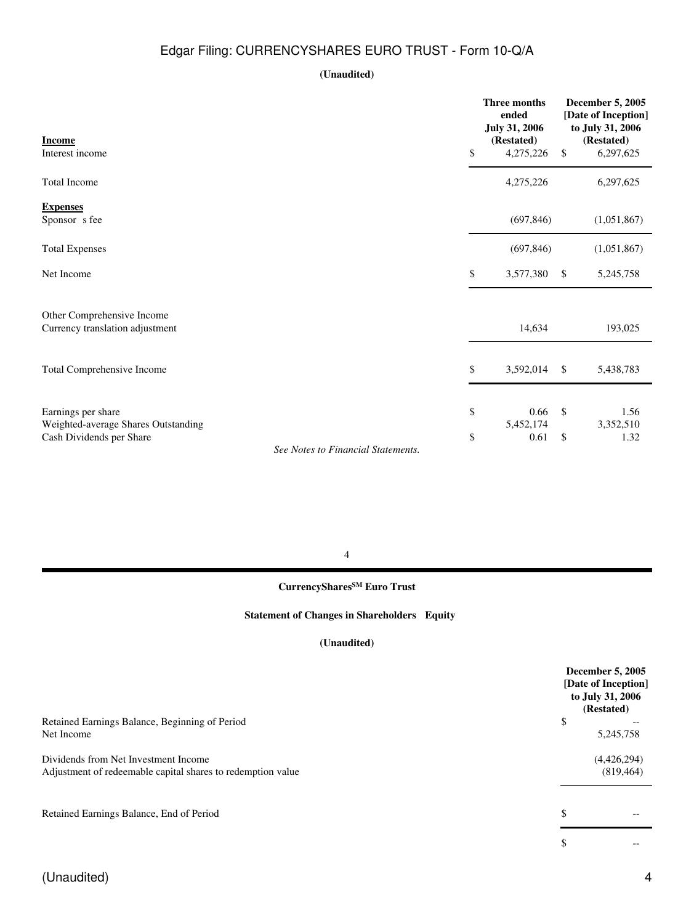## **(Unaudited)**

| <b>Income</b>                                                  | <b>Three months</b><br>ended<br><b>July 31, 2006</b><br>(Restated) |               | December 5, 2005<br>[Date of Inception]<br>to July 31, 2006<br>(Restated) |
|----------------------------------------------------------------|--------------------------------------------------------------------|---------------|---------------------------------------------------------------------------|
| Interest income                                                | \$<br>4,275,226                                                    | $\mathsf{\$}$ | 6,297,625                                                                 |
| <b>Total Income</b>                                            | 4,275,226                                                          |               | 6,297,625                                                                 |
| <b>Expenses</b><br>Sponsor s fee                               | (697, 846)                                                         |               | (1,051,867)                                                               |
| <b>Total Expenses</b>                                          | (697, 846)                                                         |               | (1,051,867)                                                               |
| Net Income                                                     | \$<br>3,577,380                                                    | \$            | 5,245,758                                                                 |
| Other Comprehensive Income<br>Currency translation adjustment  | 14,634                                                             |               | 193,025                                                                   |
| Total Comprehensive Income                                     | \$<br>3,592,014                                                    | \$            | 5,438,783                                                                 |
| Earnings per share<br>Weighted-average Shares Outstanding      | \$<br>0.66<br>5,452,174                                            | - \$          | 1.56<br>3,352,510                                                         |
| Cash Dividends per Share<br>See Notes to Financial Statements. | \$<br>0.61                                                         | \$            | 1.32                                                                      |

4

# **CurrencySharesSM Euro Trust**

## **Statement of Changes in Shareholders Equity**

## **(Unaudited)**

|                                                             | <b>December 5, 2005</b><br>[Date of Inception]<br>to July 31, 2006<br>(Restated) |
|-------------------------------------------------------------|----------------------------------------------------------------------------------|
| Retained Earnings Balance, Beginning of Period              | \$                                                                               |
| Net Income                                                  | 5,245,758                                                                        |
| Dividends from Net Investment Income                        | (4,426,294)                                                                      |
| Adjustment of redeemable capital shares to redemption value | (819, 464)                                                                       |
|                                                             |                                                                                  |
| Retained Earnings Balance, End of Period                    | \$                                                                               |
|                                                             | \$                                                                               |
|                                                             |                                                                                  |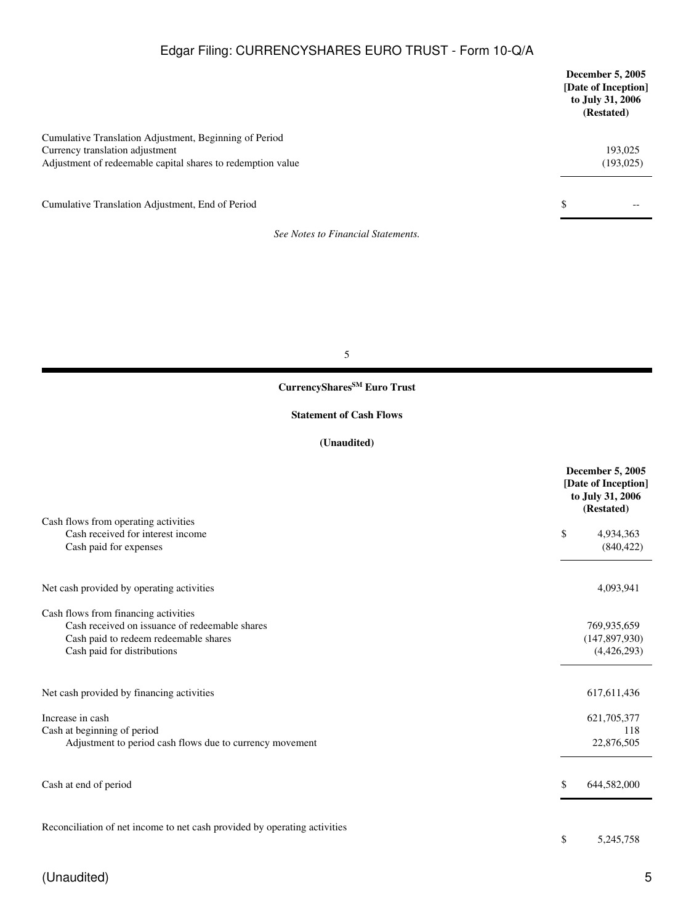|                                                                                                                                                          | <b>December 5, 2005</b><br>[Date of Inception]<br>to July 31, 2006<br>(Restated) |
|----------------------------------------------------------------------------------------------------------------------------------------------------------|----------------------------------------------------------------------------------|
| Cumulative Translation Adjustment, Beginning of Period<br>Currency translation adjustment<br>Adjustment of redeemable capital shares to redemption value | 193,025<br>(193, 025)                                                            |
| Cumulative Translation Adjustment, End of Period                                                                                                         | \$<br>--                                                                         |
| See Notes to Financial Statements.                                                                                                                       |                                                                                  |

5

# **CurrencySharesSM Euro Trust**

### **Statement of Cash Flows**

## **(Unaudited)**

|                                                                                                                                                                | <b>December 5, 2005</b><br>[Date of Inception]<br>to July 31, 2006<br>(Restated) |
|----------------------------------------------------------------------------------------------------------------------------------------------------------------|----------------------------------------------------------------------------------|
| Cash flows from operating activities<br>Cash received for interest income<br>Cash paid for expenses                                                            | \$<br>4,934,363<br>(840, 422)                                                    |
| Net cash provided by operating activities                                                                                                                      | 4,093,941                                                                        |
| Cash flows from financing activities<br>Cash received on issuance of redeemable shares<br>Cash paid to redeem redeemable shares<br>Cash paid for distributions | 769,935,659<br>(147, 897, 930)<br>(4,426,293)                                    |
| Net cash provided by financing activities                                                                                                                      | 617, 611, 436                                                                    |
| Increase in cash<br>Cash at beginning of period<br>Adjustment to period cash flows due to currency movement                                                    | 621,705,377<br>118<br>22,876,505                                                 |
| Cash at end of period                                                                                                                                          | \$<br>644,582,000                                                                |
| Reconciliation of net income to net cash provided by operating activities                                                                                      | \$<br>5,245,758                                                                  |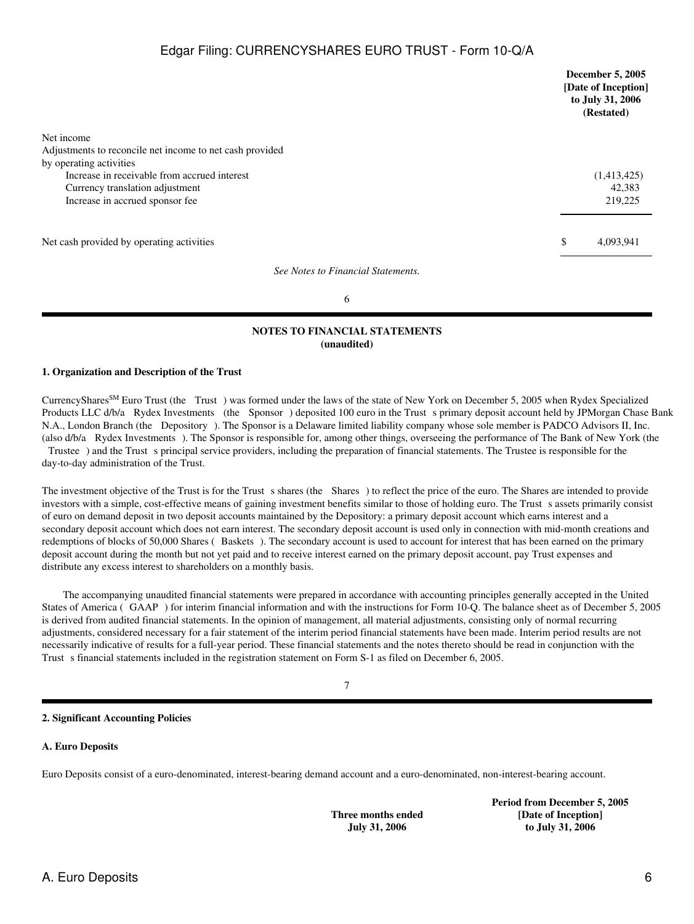|                                                          | <b>December 5, 2005</b><br>[Date of Inception]<br>to July 31, 2006<br>(Restated) |
|----------------------------------------------------------|----------------------------------------------------------------------------------|
| Net income                                               |                                                                                  |
| Adjustments to reconcile net income to net cash provided |                                                                                  |
| by operating activities                                  |                                                                                  |
| Increase in receivable from accrued interest             | (1,413,425)                                                                      |
| Currency translation adjustment                          | 42,383                                                                           |
| Increase in accrued sponsor fee                          | 219,225                                                                          |
|                                                          |                                                                                  |
| Net cash provided by operating activities                | \$<br>4,093,941                                                                  |
| See Notes to Financial Statements.                       |                                                                                  |

6

#### **NOTES TO FINANCIAL STATEMENTS (unaudited)**

### **1. Organization and Description of the Trust**

CurrencySharesSM Euro Trust (the Trust) was formed under the laws of the state of New York on December 5, 2005 when Rydex Specialized Products LLC d/b/a Rydex Investments (the Sponsor) deposited 100 euro in the Trust s primary deposit account held by JPMorgan Chase Bank N.A., London Branch (the Depository). The Sponsor is a Delaware limited liability company whose sole member is PADCO Advisors II, Inc. (also d/b/a Rydex Investments). The Sponsor is responsible for, among other things, overseeing the performance of The Bank of New York (the Trustee) and the Trust s principal service providers, including the preparation of financial statements. The Trustee is responsible for the day-to-day administration of the Trust.

The investment objective of the Trust is for the Trust s shares (the Shares) to reflect the price of the euro. The Shares are intended to provide investors with a simple, cost-effective means of gaining investment benefits similar to those of holding euro. The Trust s assets primarily consist of euro on demand deposit in two deposit accounts maintained by the Depository: a primary deposit account which earns interest and a secondary deposit account which does not earn interest. The secondary deposit account is used only in connection with mid-month creations and redemptions of blocks of 50,000 Shares (Baskets). The secondary account is used to account for interest that has been earned on the primary deposit account during the month but not yet paid and to receive interest earned on the primary deposit account, pay Trust expenses and distribute any excess interest to shareholders on a monthly basis.

 The accompanying unaudited financial statements were prepared in accordance with accounting principles generally accepted in the United States of America (GAAP) for interim financial information and with the instructions for Form 10-Q. The balance sheet as of December 5, 2005 is derived from audited financial statements. In the opinion of management, all material adjustments, consisting only of normal recurring adjustments, considered necessary for a fair statement of the interim period financial statements have been made. Interim period results are not necessarily indicative of results for a full-year period. These financial statements and the notes thereto should be read in conjunction with the Trust s financial statements included in the registration statement on Form S-1 as filed on December 6, 2005.

#### **2. Significant Accounting Policies**

#### **A. Euro Deposits**

Euro Deposits consist of a euro-denominated, interest-bearing demand account and a euro-denominated, non-interest-bearing account.

**Three months ended July 31, 2006**

**Period from December 5, 2005 [Date of Inception] to July 31, 2006**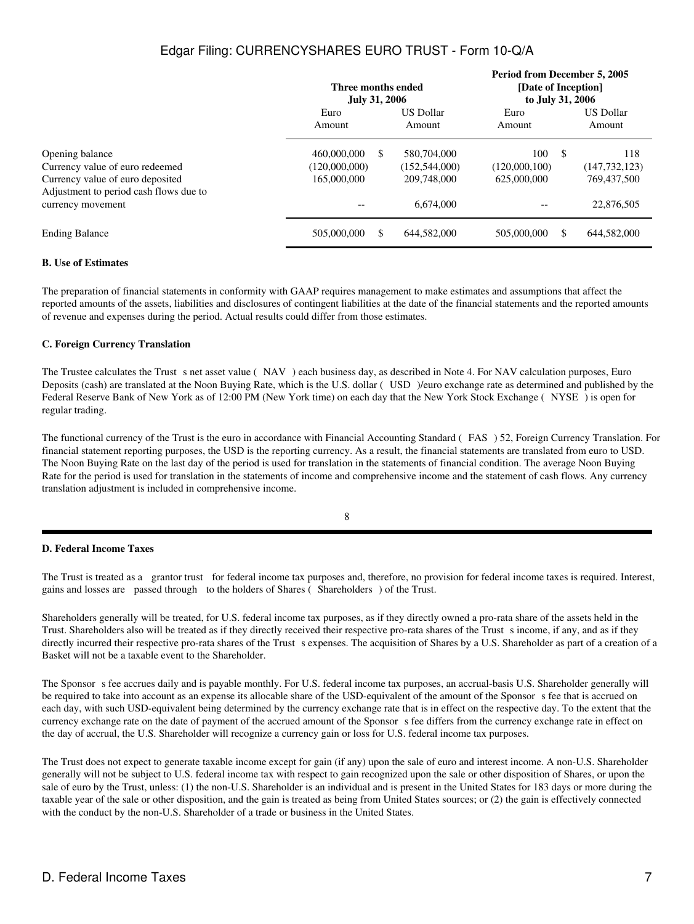|                                                                                                                                  | Three months ended<br><b>July 31, 2006</b>  |     |                                               | Period from December 5, 2005<br>[Date of Inception]<br>to July 31, 2006 |      |                                       |
|----------------------------------------------------------------------------------------------------------------------------------|---------------------------------------------|-----|-----------------------------------------------|-------------------------------------------------------------------------|------|---------------------------------------|
|                                                                                                                                  | Euro<br>Amount                              |     | <b>US Dollar</b><br>Amount                    | Euro<br>Amount                                                          |      | <b>US Dollar</b><br>Amount            |
| Opening balance<br>Currency value of euro redeemed<br>Currency value of euro deposited<br>Adjustment to period cash flows due to | 460,000,000<br>(120,000,000)<br>165,000,000 | \$. | 580,704,000<br>(152, 544, 000)<br>209,748,000 | 100<br>(120,000,100)<br>625,000,000                                     | - \$ | 118<br>(147, 732, 123)<br>769,437,500 |
| currency movement                                                                                                                |                                             |     | 6.674,000                                     |                                                                         |      | 22,876,505                            |
| <b>Ending Balance</b>                                                                                                            | 505,000,000                                 | \$  | 644,582,000                                   | 505,000,000                                                             | \$   | 644,582,000                           |

### **B. Use of Estimates**

The preparation of financial statements in conformity with GAAP requires management to make estimates and assumptions that affect the reported amounts of the assets, liabilities and disclosures of contingent liabilities at the date of the financial statements and the reported amounts of revenue and expenses during the period. Actual results could differ from those estimates.

## **C. Foreign Currency Translation**

The Trustee calculates the Trust s net asset value (NAV) each business day, as described in Note 4. For NAV calculation purposes, Euro Deposits (cash) are translated at the Noon Buying Rate, which is the U.S. dollar (USD) //euro exchange rate as determined and published by the Federal Reserve Bank of New York as of 12:00 PM (New York time) on each day that the New York Stock Exchange (NYSE) is open for regular trading.

The functional currency of the Trust is the euro in accordance with Financial Accounting Standard (FAS) 52, Foreign Currency Translation. For financial statement reporting purposes, the USD is the reporting currency. As a result, the financial statements are translated from euro to USD. The Noon Buying Rate on the last day of the period is used for translation in the statements of financial condition. The average Noon Buying Rate for the period is used for translation in the statements of income and comprehensive income and the statement of cash flows. Any currency translation adjustment is included in comprehensive income.

8

### **D. Federal Income Taxes**

The Trust is treated as a grantor trust for federal income tax purposes and, therefore, no provision for federal income taxes is required. Interest, gains and losses are passed through to the holders of Shares (Shareholders) of the Trust.

Shareholders generally will be treated, for U.S. federal income tax purposes, as if they directly owned a pro-rata share of the assets held in the Trust. Shareholders also will be treated as if they directly received their respective pro-rata shares of the Trust sincome, if any, and as if they directly incurred their respective pro-rata shares of the Trust s expenses. The acquisition of Shares by a U.S. Shareholder as part of a creation of a Basket will not be a taxable event to the Shareholder.

The Sponsor s fee accrues daily and is payable monthly. For U.S. federal income tax purposes, an accrual-basis U.S. Shareholder generally will be required to take into account as an expense its allocable share of the USD-equivalent of the amount of the Sponsor s fee that is accrued on each day, with such USD-equivalent being determined by the currency exchange rate that is in effect on the respective day. To the extent that the currency exchange rate on the date of payment of the accrued amount of the Sponsors fee differs from the currency exchange rate in effect on the day of accrual, the U.S. Shareholder will recognize a currency gain or loss for U.S. federal income tax purposes.

The Trust does not expect to generate taxable income except for gain (if any) upon the sale of euro and interest income. A non-U.S. Shareholder generally will not be subject to U.S. federal income tax with respect to gain recognized upon the sale or other disposition of Shares, or upon the sale of euro by the Trust, unless: (1) the non-U.S. Shareholder is an individual and is present in the United States for 183 days or more during the taxable year of the sale or other disposition, and the gain is treated as being from United States sources; or (2) the gain is effectively connected with the conduct by the non-U.S. Shareholder of a trade or business in the United States.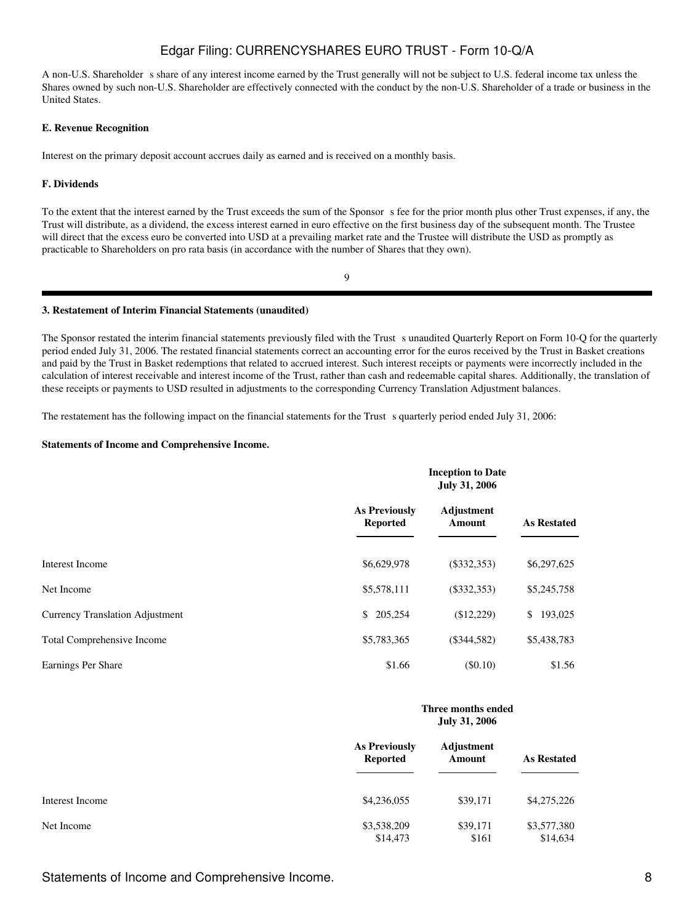A non-U.S. Shareholder s share of any interest income earned by the Trust generally will not be subject to U.S. federal income tax unless the Shares owned by such non-U.S. Shareholder are effectively connected with the conduct by the non-U.S. Shareholder of a trade or business in the United States.

#### **E. Revenue Recognition**

Interest on the primary deposit account accrues daily as earned and is received on a monthly basis.

#### **F. Dividends**

To the extent that the interest earned by the Trust exceeds the sum of the Sponsor s fee for the prior month plus other Trust expenses, if any, the Trust will distribute, as a dividend, the excess interest earned in euro effective on the first business day of the subsequent month. The Trustee will direct that the excess euro be converted into USD at a prevailing market rate and the Trustee will distribute the USD as promptly as practicable to Shareholders on pro rata basis (in accordance with the number of Shares that they own).

9

#### **3. Restatement of Interim Financial Statements (unaudited)**

The Sponsor restated the interim financial statements previously filed with the Trust sunaudited Quarterly Report on Form 10-Q for the quarterly period ended July 31, 2006. The restated financial statements correct an accounting error for the euros received by the Trust in Basket creations and paid by the Trust in Basket redemptions that related to accrued interest. Such interest receipts or payments were incorrectly included in the calculation of interest receivable and interest income of the Trust, rather than cash and redeemable capital shares. Additionally, the translation of these receipts or payments to USD resulted in adjustments to the corresponding Currency Translation Adjustment balances.

The restatement has the following impact on the financial statements for the Trust s quarterly period ended July 31, 2006:

#### **Statements of Income and Comprehensive Income.**

|                                        |                                         | <b>Inception to Date</b><br><b>July 31, 2006</b> |                         |
|----------------------------------------|-----------------------------------------|--------------------------------------------------|-------------------------|
|                                        | <b>As Previously</b><br><b>Reported</b> | Adjustment<br>Amount                             | <b>As Restated</b>      |
| Interest Income                        | \$6,629,978                             | $(\$332,353)$                                    | \$6,297,625             |
| Net Income                             | \$5,578,111                             | $(\$332,353)$                                    | \$5,245,758             |
| <b>Currency Translation Adjustment</b> | \$205,254                               | (\$12,229)                                       | $\mathbb{S}$<br>193,025 |
| <b>Total Comprehensive Income</b>      | \$5,783,365                             | $(\$344,582)$                                    | \$5,438,783             |
| Earnings Per Share                     | \$1.66                                  | (S0.10)                                          | \$1.56                  |

|                 | Three months ended<br><b>July 31, 2006</b> |                      |                         |  |
|-----------------|--------------------------------------------|----------------------|-------------------------|--|
|                 | <b>As Previously</b><br><b>Reported</b>    | Adjustment<br>Amount | <b>As Restated</b>      |  |
| Interest Income | \$4,236,055                                | \$39,171             | \$4,275,226             |  |
| Net Income      | \$3,538,209<br>\$14,473                    | \$39,171<br>\$161    | \$3,577,380<br>\$14,634 |  |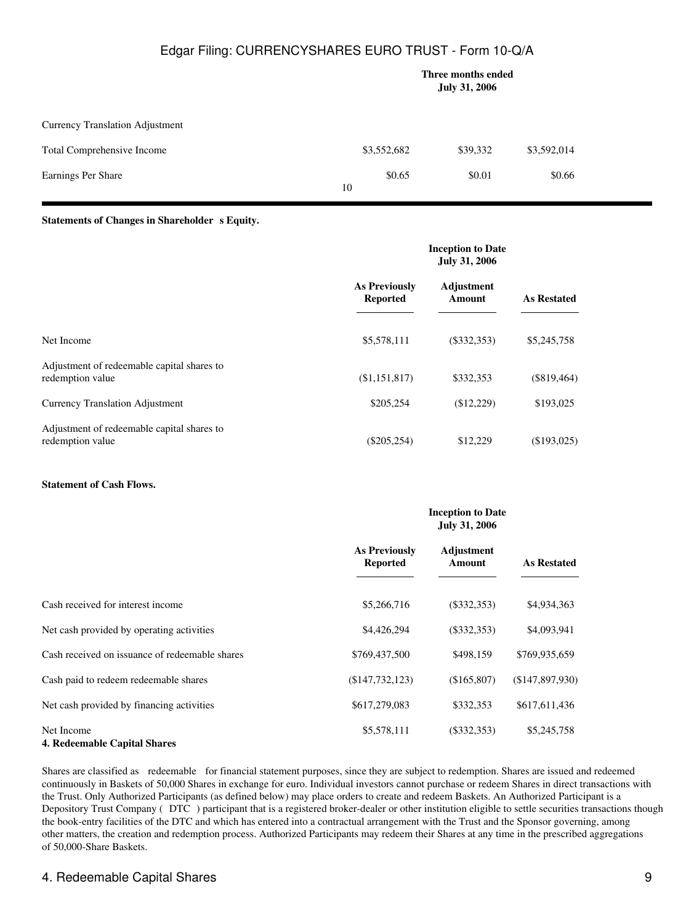|                                        | Three months ended<br><b>July 31, 2006</b> |        |          |             |
|----------------------------------------|--------------------------------------------|--------|----------|-------------|
| <b>Currency Translation Adjustment</b> |                                            |        |          |             |
| Total Comprehensive Income             | \$3,552,682                                |        | \$39,332 | \$3,592,014 |
| Earnings Per Share                     | 10                                         | \$0.65 | \$0.01   | \$0.66      |

#### **Statements of Changes in Shareholder s Equity.**

|                                                                | <b>Inception to Date</b><br><b>July 31, 2006</b> |                      |                    |  |
|----------------------------------------------------------------|--------------------------------------------------|----------------------|--------------------|--|
|                                                                | <b>As Previously</b><br><b>Reported</b>          | Adjustment<br>Amount | <b>As Restated</b> |  |
| Net Income                                                     | \$5,578,111                                      | $(\$332,353)$        | \$5,245,758        |  |
| Adjustment of redeemable capital shares to<br>redemption value | (\$1,151,817)                                    | \$332,353            | (\$819,464)        |  |
| <b>Currency Translation Adjustment</b>                         | \$205,254                                        | (\$12,229)           | \$193,025          |  |
| Adjustment of redeemable capital shares to<br>redemption value | $(\$205,254)$                                    | \$12,229             | (\$193,025)        |  |

### **Statement of Cash Flows.**

|                                                   | <b>Inception to Date</b><br><b>July 31, 2006</b> |                      |                    |
|---------------------------------------------------|--------------------------------------------------|----------------------|--------------------|
|                                                   | <b>As Previously</b><br><b>Reported</b>          | Adjustment<br>Amount | <b>As Restated</b> |
| Cash received for interest income                 | \$5,266,716                                      | $(\$332,353)$        | \$4,934,363        |
| Net cash provided by operating activities         | \$4,426,294                                      | $(\$332,353)$        | \$4,093,941        |
| Cash received on issuance of redeemable shares    | \$769,437,500                                    | \$498,159            | \$769,935,659      |
| Cash paid to redeem redeemable shares             | (\$147,732,123)                                  | (\$165,807)          | (\$147,897,930)    |
| Net cash provided by financing activities         | \$617,279,083                                    | \$332,353            | \$617,611,436      |
| Net Income<br><b>4. Redeemable Capital Shares</b> | \$5,578,111                                      | $(\$332,353)$        | \$5,245,758        |

Shares are classified as redeemable for financial statement purposes, since they are subject to redemption. Shares are issued and redeemed continuously in Baskets of 50,000 Shares in exchange for euro. Individual investors cannot purchase or redeem Shares in direct transactions with the Trust. Only Authorized Participants (as defined below) may place orders to create and redeem Baskets. An Authorized Participant is a Depository Trust Company (DTC) participant that is a registered broker-dealer or other institution eligible to settle securities transactions though the book-entry facilities of the DTC and which has entered into a contractual arrangement with the Trust and the Sponsor governing, among other matters, the creation and redemption process. Authorized Participants may redeem their Shares at any time in the prescribed aggregations of 50,000-Share Baskets.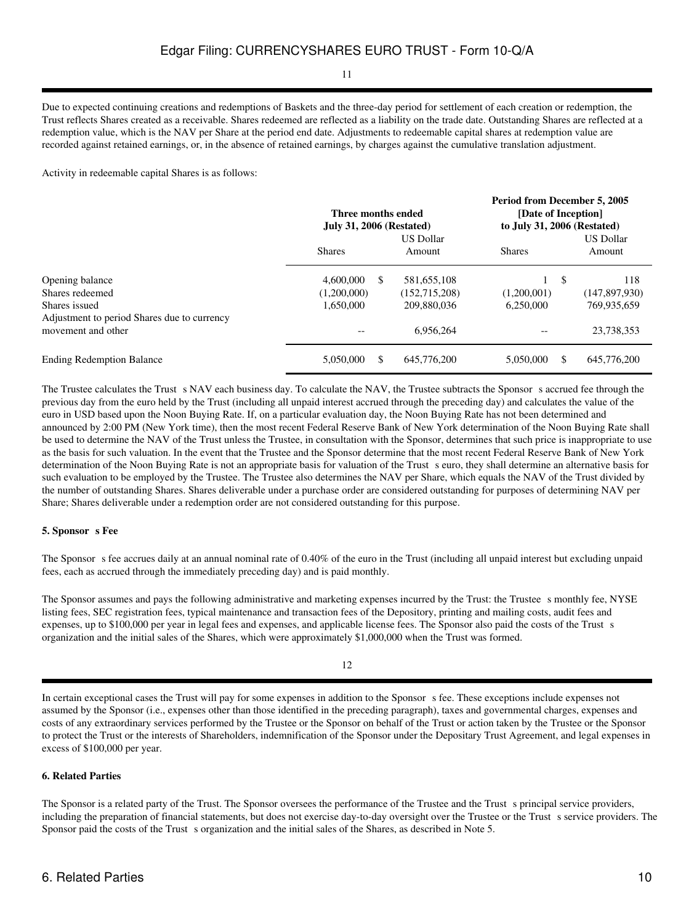## 11

Due to expected continuing creations and redemptions of Baskets and the three-day period for settlement of each creation or redemption, the Trust reflects Shares created as a receivable. Shares redeemed are reflected as a liability on the trade date. Outstanding Shares are reflected at a redemption value, which is the NAV per Share at the period end date. Adjustments to redeemable capital shares at redemption value are recorded against retained earnings, or, in the absence of retained earnings, by charges against the cumulative translation adjustment.

Activity in redeemable capital Shares is as follows:

|                                                              |                 | Three months ended<br><b>July 31, 2006 (Restated)</b> |               | Period from December 5, 2005<br>[Date of Inception]<br>to July 31, 2006 (Restated) |  |
|--------------------------------------------------------------|-----------------|-------------------------------------------------------|---------------|------------------------------------------------------------------------------------|--|
|                                                              | <b>Shares</b>   | <b>US Dollar</b><br>Amount                            | <b>Shares</b> | <b>US Dollar</b><br>Amount                                                         |  |
| Opening balance                                              | 4,600,000<br>S  | 581,655,108                                           |               | <sup>\$</sup><br>118                                                               |  |
| Shares redeemed                                              | (1,200,000)     | (152, 715, 208)                                       | (1,200,001)   | (147, 897, 930)                                                                    |  |
| Shares issued<br>Adjustment to period Shares due to currency | 1,650,000       | 209,880,036                                           | 6,250,000     | 769,935,659                                                                        |  |
| movement and other                                           | $- -$           | 6.956.264                                             | --            | 23,738,353                                                                         |  |
| <b>Ending Redemption Balance</b>                             | 5,050,000<br>\$ | 645,776,200                                           | 5.050,000     | \$<br>645,776,200                                                                  |  |

The Trustee calculates the Trust s NAV each business day. To calculate the NAV, the Trustee subtracts the Sponsor s accrued fee through the previous day from the euro held by the Trust (including all unpaid interest accrued through the preceding day) and calculates the value of the euro in USD based upon the Noon Buying Rate. If, on a particular evaluation day, the Noon Buying Rate has not been determined and announced by 2:00 PM (New York time), then the most recent Federal Reserve Bank of New York determination of the Noon Buying Rate shall be used to determine the NAV of the Trust unless the Trustee, in consultation with the Sponsor, determines that such price is inappropriate to use as the basis for such valuation. In the event that the Trustee and the Sponsor determine that the most recent Federal Reserve Bank of New York determination of the Noon Buying Rate is not an appropriate basis for valuation of the Trust seuro, they shall determine an alternative basis for such evaluation to be employed by the Trustee. The Trustee also determines the NAV per Share, which equals the NAV of the Trust divided by the number of outstanding Shares. Shares deliverable under a purchase order are considered outstanding for purposes of determining NAV per Share; Shares deliverable under a redemption order are not considered outstanding for this purpose.

#### **5. Sponsor s** Fee

The Sponsor s fee accrues daily at an annual nominal rate of 0.40% of the euro in the Trust (including all unpaid interest but excluding unpaid fees, each as accrued through the immediately preceding day) and is paid monthly.

The Sponsor assumes and pays the following administrative and marketing expenses incurred by the Trust: the Trustee s monthly fee, NYSE listing fees, SEC registration fees, typical maintenance and transaction fees of the Depository, printing and mailing costs, audit fees and expenses, up to \$100,000 per year in legal fees and expenses, and applicable license fees. The Sponsor also paid the costs of the Trust s organization and the initial sales of the Shares, which were approximately \$1,000,000 when the Trust was formed.

#### 12

In certain exceptional cases the Trust will pay for some expenses in addition to the Sponsor s fee. These exceptions include expenses not assumed by the Sponsor (i.e., expenses other than those identified in the preceding paragraph), taxes and governmental charges, expenses and costs of any extraordinary services performed by the Trustee or the Sponsor on behalf of the Trust or action taken by the Trustee or the Sponsor to protect the Trust or the interests of Shareholders, indemnification of the Sponsor under the Depositary Trust Agreement, and legal expenses in excess of \$100,000 per year.

### **6. Related Parties**

The Sponsor is a related party of the Trust. The Sponsor oversees the performance of the Trustee and the Trusts principal service providers, including the preparation of financial statements, but does not exercise day-to-day oversight over the Trustee or the Trust s service providers. The Sponsor paid the costs of the Trust s organization and the initial sales of the Shares, as described in Note 5.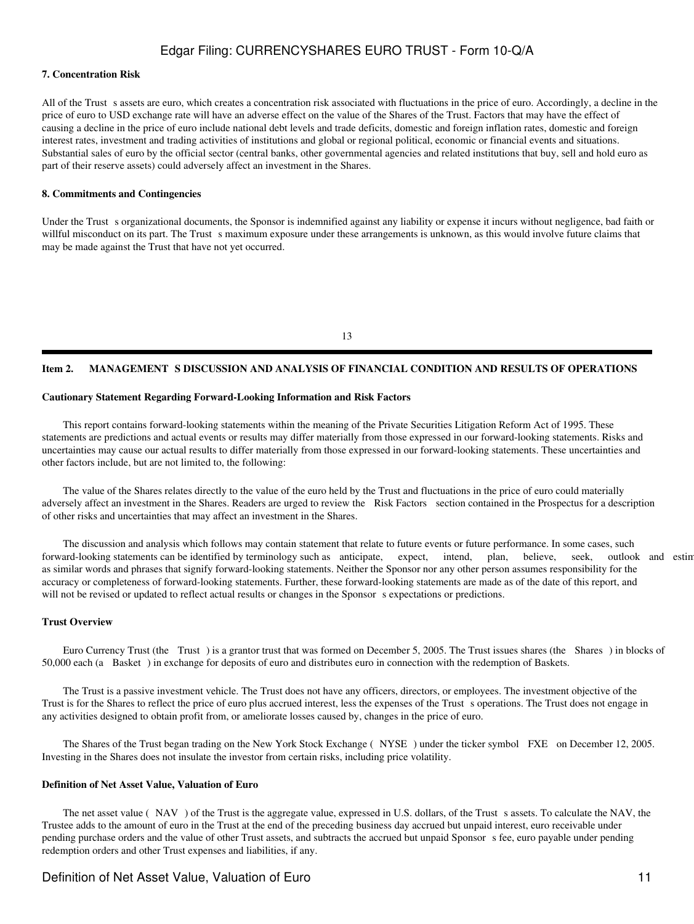#### **7. Concentration Risk**

All of the Trust s assets are euro, which creates a concentration risk associated with fluctuations in the price of euro. Accordingly, a decline in the price of euro to USD exchange rate will have an adverse effect on the value of the Shares of the Trust. Factors that may have the effect of causing a decline in the price of euro include national debt levels and trade deficits, domestic and foreign inflation rates, domestic and foreign interest rates, investment and trading activities of institutions and global or regional political, economic or financial events and situations. Substantial sales of euro by the official sector (central banks, other governmental agencies and related institutions that buy, sell and hold euro as part of their reserve assets) could adversely affect an investment in the Shares.

#### **8. Commitments and Contingencies**

Under the Trust s organizational documents, the Sponsor is indemnified against any liability or expense it incurs without negligence, bad faith or willful misconduct on its part. The Trust s maximum exposure under these arrangements is unknown, as this would involve future claims that may be made against the Trust that have not yet occurred.

#### 13

#### Item 2. MANAGEMENT S DISCUSSION AND ANALYSIS OF FINANCIAL CONDITION AND RESULTS OF OPERATIONS

#### **Cautionary Statement Regarding Forward-Looking Information and Risk Factors**

 This report contains forward-looking statements within the meaning of the Private Securities Litigation Reform Act of 1995. These statements are predictions and actual events or results may differ materially from those expressed in our forward-looking statements. Risks and uncertainties may cause our actual results to differ materially from those expressed in our forward-looking statements. These uncertainties and other factors include, but are not limited to, the following:

 The value of the Shares relates directly to the value of the euro held by the Trust and fluctuations in the price of euro could materially adversely affect an investment in the Shares. Readers are urged to review the Risk Factors section contained in the Prospectus for a description of other risks and uncertainties that may affect an investment in the Shares.

 The discussion and analysis which follows may contain statement that relate to future events or future performance. In some cases, such forward-looking statements can be identified by terminology such as anticipate, expect, intend, plan, believe, seek, outlook and estin as similar words and phrases that signify forward-looking statements. Neither the Sponsor nor any other person assumes responsibility for the accuracy or completeness of forward-looking statements. Further, these forward-looking statements are made as of the date of this report, and will not be revised or updated to reflect actual results or changes in the Sponsor s expectations or predictions.

#### **Trust Overview**

 Euro Currency Trust (the Trust) is a grantor trust that was formed on December 5, 2005. The Trust issues shares (the Shares) in blocks of 50,000 each (a Basket) in exchange for deposits of euro and distributes euro in connection with the redemption of Baskets.

 The Trust is a passive investment vehicle. The Trust does not have any officers, directors, or employees. The investment objective of the Trust is for the Shares to reflect the price of euro plus accrued interest, less the expenses of the Trust s operations. The Trust does not engage in any activities designed to obtain profit from, or ameliorate losses caused by, changes in the price of euro.

The Shares of the Trust began trading on the New York Stock Exchange (NYSE) under the ticker symbol FXE on December 12, 2005. Investing in the Shares does not insulate the investor from certain risks, including price volatility.

#### **Definition of Net Asset Value, Valuation of Euro**

The net asset value (NAV) of the Trust is the aggregate value, expressed in U.S. dollars, of the Trust s assets. To calculate the NAV, the Trustee adds to the amount of euro in the Trust at the end of the preceding business day accrued but unpaid interest, euro receivable under pending purchase orders and the value of other Trust assets, and subtracts the accrued but unpaid Sponsors fee, euro payable under pending redemption orders and other Trust expenses and liabilities, if any.

## Definition of Net Asset Value, Valuation of Euro 11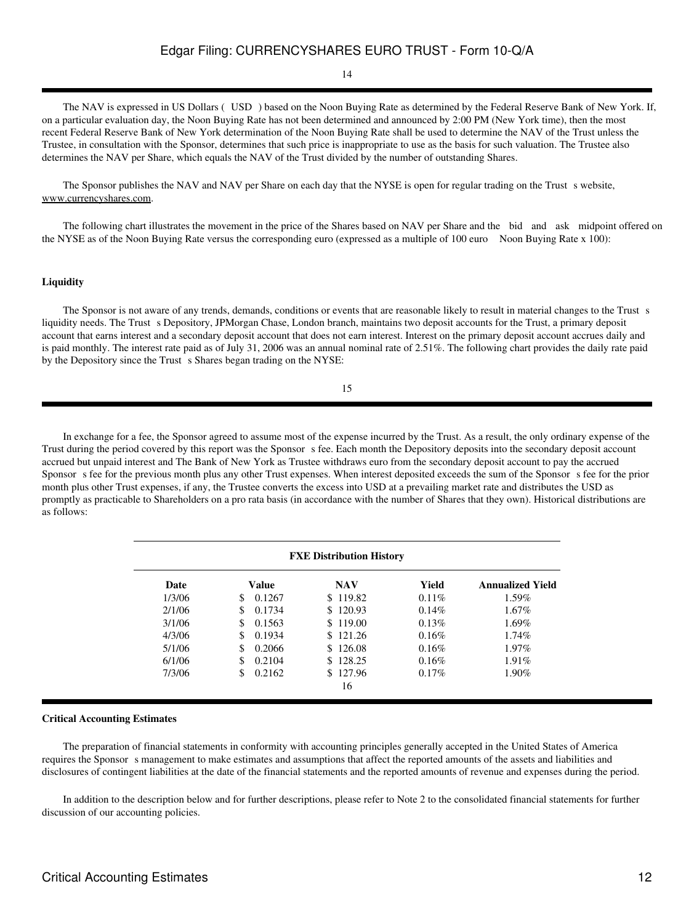## 14

 The NAV is expressed in US Dollars (USD) based on the Noon Buying Rate as determined by the Federal Reserve Bank of New York. If, on a particular evaluation day, the Noon Buying Rate has not been determined and announced by 2:00 PM (New York time), then the most recent Federal Reserve Bank of New York determination of the Noon Buying Rate shall be used to determine the NAV of the Trust unless the Trustee, in consultation with the Sponsor, determines that such price is inappropriate to use as the basis for such valuation. The Trustee also determines the NAV per Share, which equals the NAV of the Trust divided by the number of outstanding Shares.

The Sponsor publishes the NAV and NAV per Share on each day that the NYSE is open for regular trading on the Trust s website, www.currencyshares.com.

 The following chart illustrates the movement in the price of the Shares based on NAV per Share and the bid and ask midpoint offered on the NYSE as of the Noon Buying Rate versus the corresponding euro (expressed as a multiple of 100 euro Noon Buying Rate x 100):

#### **Liquidity**

The Sponsor is not aware of any trends, demands, conditions or events that are reasonable likely to result in material changes to the Trust s liquidity needs. The Trust s Depository, JPMorgan Chase, London branch, maintains two deposit accounts for the Trust, a primary deposit account that earns interest and a secondary deposit account that does not earn interest. Interest on the primary deposit account accrues daily and is paid monthly. The interest rate paid as of July 31, 2006 was an annual nominal rate of 2.51%. The following chart provides the daily rate paid by the Depository since the Trust s Shares began trading on the NYSE:

15

 In exchange for a fee, the Sponsor agreed to assume most of the expense incurred by the Trust. As a result, the only ordinary expense of the Trust during the period covered by this report was the Sponsor s fee. Each month the Depository deposits into the secondary deposit account accrued but unpaid interest and The Bank of New York as Trustee withdraws euro from the secondary deposit account to pay the accrued Sponsor s fee for the previous month plus any other Trust expenses. When interest deposited exceeds the sum of the Sponsor s fee for the prior month plus other Trust expenses, if any, the Trustee converts the excess into USD at a prevailing market rate and distributes the USD as promptly as practicable to Shareholders on a pro rata basis (in accordance with the number of Shares that they own). Historical distributions are as follows:

| <b>FXE Distribution History</b> |               |               |          |                         |
|---------------------------------|---------------|---------------|----------|-------------------------|
| Date                            | Value         | <b>NAV</b>    | Yield    | <b>Annualized Yield</b> |
| 1/3/06                          | 0.1267<br>\$. | \$119.82      | $0.11\%$ | 1.59%                   |
| 2/1/06                          | 0.1734<br>\$. | \$120.93      | 0.14%    | 1.67%                   |
| 3/1/06                          | \$<br>0.1563  | 119.00<br>\$. | 0.13%    | 1.69%                   |
| 4/3/06                          | 0.1934<br>\$  | \$.<br>121.26 | 0.16%    | $1.74\%$                |
| 5/1/06                          | 0.2066<br>\$  | 126.08<br>S.  | 0.16%    | $1.97\%$                |
| 6/1/06                          | 0.2104<br>S   | 128.25        | 0.16%    | $1.91\%$                |
| 7/3/06                          | 0.2162        | \$127.96      | $0.17\%$ | 1.90%                   |
|                                 |               | 16            |          |                         |

#### **Critical Accounting Estimates**

 The preparation of financial statements in conformity with accounting principles generally accepted in the United States of America requires the Sponsor s management to make estimates and assumptions that affect the reported amounts of the assets and liabilities and disclosures of contingent liabilities at the date of the financial statements and the reported amounts of revenue and expenses during the period.

 In addition to the description below and for further descriptions, please refer to Note 2 to the consolidated financial statements for further discussion of our accounting policies.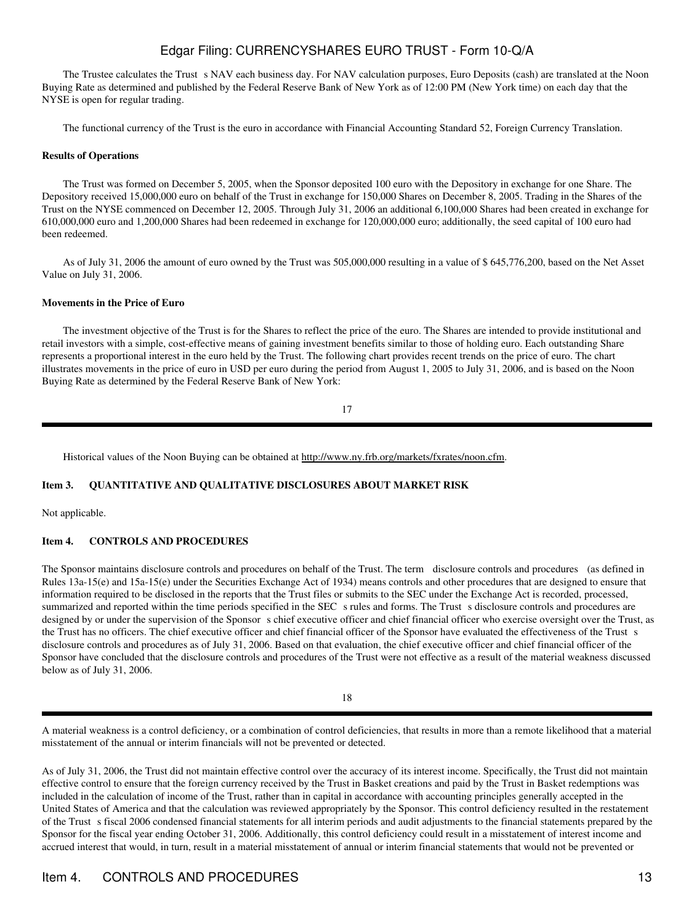The Trustee calculates the Trust s NAV each business day. For NAV calculation purposes, Euro Deposits (cash) are translated at the Noon Buying Rate as determined and published by the Federal Reserve Bank of New York as of 12:00 PM (New York time) on each day that the NYSE is open for regular trading.

The functional currency of the Trust is the euro in accordance with Financial Accounting Standard 52, Foreign Currency Translation.

#### **Results of Operations**

 The Trust was formed on December 5, 2005, when the Sponsor deposited 100 euro with the Depository in exchange for one Share. The Depository received 15,000,000 euro on behalf of the Trust in exchange for 150,000 Shares on December 8, 2005. Trading in the Shares of the Trust on the NYSE commenced on December 12, 2005. Through July 31, 2006 an additional 6,100,000 Shares had been created in exchange for 610,000,000 euro and 1,200,000 Shares had been redeemed in exchange for 120,000,000 euro; additionally, the seed capital of 100 euro had been redeemed.

 As of July 31, 2006 the amount of euro owned by the Trust was 505,000,000 resulting in a value of \$ 645,776,200, based on the Net Asset Value on July 31, 2006.

#### **Movements in the Price of Euro**

 The investment objective of the Trust is for the Shares to reflect the price of the euro. The Shares are intended to provide institutional and retail investors with a simple, cost-effective means of gaining investment benefits similar to those of holding euro. Each outstanding Share represents a proportional interest in the euro held by the Trust. The following chart provides recent trends on the price of euro. The chart illustrates movements in the price of euro in USD per euro during the period from August 1, 2005 to July 31, 2006, and is based on the Noon Buying Rate as determined by the Federal Reserve Bank of New York:

17

Historical values of the Noon Buying can be obtained at http://www.ny.frb.org/markets/fxrates/noon.cfm.

#### **Item 3. QUANTITATIVE AND QUALITATIVE DISCLOSURES ABOUT MARKET RISK**

Not applicable.

## **Item 4. CONTROLS AND PROCEDURES**

The Sponsor maintains disclosure controls and procedures on behalf of the Trust. The term disclosure controls and procedures (as defined in Rules 13a-15(e) and 15a-15(e) under the Securities Exchange Act of 1934) means controls and other procedures that are designed to ensure that information required to be disclosed in the reports that the Trust files or submits to the SEC under the Exchange Act is recorded, processed, summarized and reported within the time periods specified in the SEC s rules and forms. The Trust s disclosure controls and procedures are designed by or under the supervision of the Sponsor s chief executive officer and chief financial officer who exercise oversight over the Trust, as the Trust has no officers. The chief executive officer and chief financial officer of the Sponsor have evaluated the effectiveness of the Trust s disclosure controls and procedures as of July 31, 2006. Based on that evaluation, the chief executive officer and chief financial officer of the Sponsor have concluded that the disclosure controls and procedures of the Trust were not effective as a result of the material weakness discussed below as of July 31, 2006.

18

A material weakness is a control deficiency, or a combination of control deficiencies, that results in more than a remote likelihood that a material misstatement of the annual or interim financials will not be prevented or detected.

As of July 31, 2006, the Trust did not maintain effective control over the accuracy of its interest income. Specifically, the Trust did not maintain effective control to ensure that the foreign currency received by the Trust in Basket creations and paid by the Trust in Basket redemptions was included in the calculation of income of the Trust, rather than in capital in accordance with accounting principles generally accepted in the United States of America and that the calculation was reviewed appropriately by the Sponsor. This control deficiency resulted in the restatement of the Trust s fiscal 2006 condensed financial statements for all interim periods and audit adjustments to the financial statements prepared by the Sponsor for the fiscal year ending October 31, 2006. Additionally, this control deficiency could result in a misstatement of interest income and accrued interest that would, in turn, result in a material misstatement of annual or interim financial statements that would not be prevented or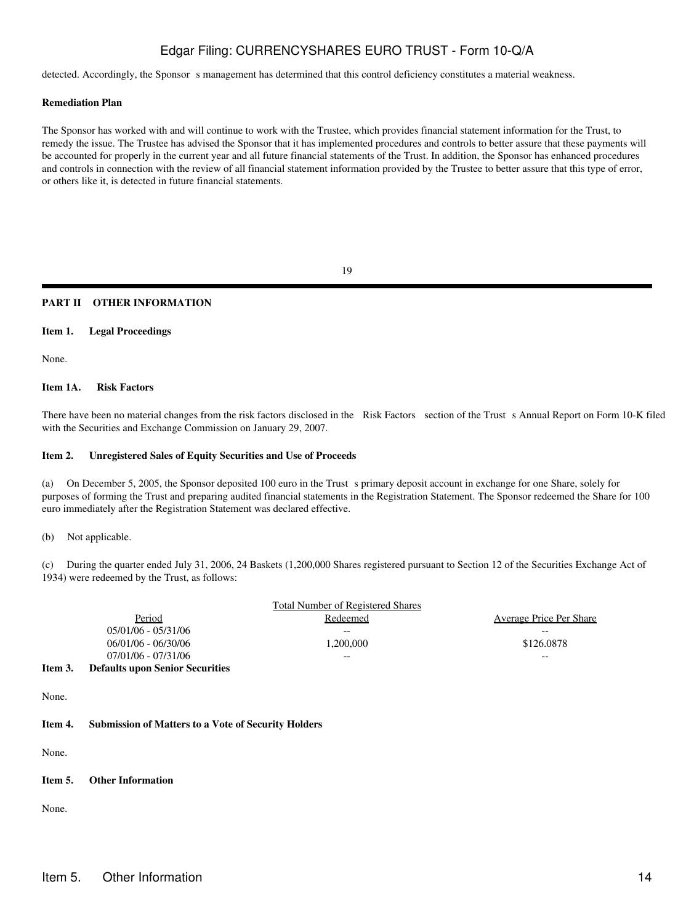detected. Accordingly, the Sponsor s management has determined that this control deficiency constitutes a material weakness.

#### **Remediation Plan**

The Sponsor has worked with and will continue to work with the Trustee, which provides financial statement information for the Trust, to remedy the issue. The Trustee has advised the Sponsor that it has implemented procedures and controls to better assure that these payments will be accounted for properly in the current year and all future financial statements of the Trust. In addition, the Sponsor has enhanced procedures and controls in connection with the review of all financial statement information provided by the Trustee to better assure that this type of error, or others like it, is detected in future financial statements.

19

### **PART II OTHER INFORMATION**

#### **Item 1. Legal Proceedings**

None.

### **Item 1A. Risk Factors**

There have been no material changes from the risk factors disclosed in the Risk Factors section of the Trust s Annual Report on Form 10-K filed with the Securities and Exchange Commission on January 29, 2007.

#### **Item 2. Unregistered Sales of Equity Securities and Use of Proceeds**

(a) On December 5, 2005, the Sponsor deposited 100 euro in the Trust s primary deposit account in exchange for one Share, solely for purposes of forming the Trust and preparing audited financial statements in the Registration Statement. The Sponsor redeemed the Share for 100 euro immediately after the Registration Statement was declared effective.

(b) Not applicable.

(c) During the quarter ended July 31, 2006, 24 Baskets (1,200,000 Shares registered pursuant to Section 12 of the Securities Exchange Act of 1934) were redeemed by the Trust, as follows:

|         |                                        | <b>Total Number of Registered Shares</b> |                                |
|---------|----------------------------------------|------------------------------------------|--------------------------------|
|         | Period                                 | Redeemed                                 | <b>Average Price Per Share</b> |
|         | $05/01/06 - 05/31/06$                  | --                                       | --                             |
|         | 06/01/06 - 06/30/06                    | 1,200,000                                | \$126,0878                     |
|         | 07/01/06 - 07/31/06                    | $- -$                                    | $- -$                          |
| Item 3. | <b>Defaults upon Senior Securities</b> |                                          |                                |
|         |                                        |                                          |                                |
|         |                                        |                                          |                                |

None.

#### **Item 4. Submission of Matters to a Vote of Security Holders**

None.

### **Item 5. Other Information**

None.